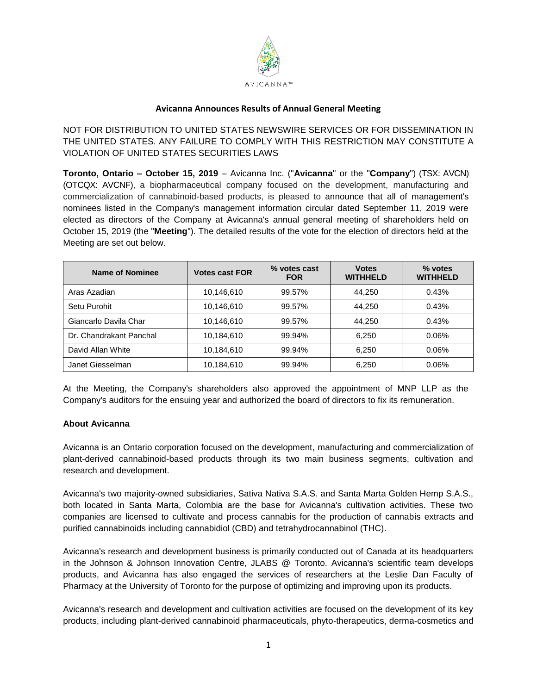

## **Avicanna Announces Results of Annual General Meeting**

NOT FOR DISTRIBUTION TO UNITED STATES NEWSWIRE SERVICES OR FOR DISSEMINATION IN THE UNITED STATES. ANY FAILURE TO COMPLY WITH THIS RESTRICTION MAY CONSTITUTE A VIOLATION OF UNITED STATES SECURITIES LAWS

**Toronto, Ontario – October 15, 2019** – Avicanna Inc. ("**Avicanna**" or the "**Company**") (TSX: AVCN) (OTCQX: AVCNF), a biopharmaceutical company focused on the development, manufacturing and commercialization of cannabinoid-based products, is pleased to announce that all of management's nominees listed in the Company's management information circular dated September 11, 2019 were elected as directors of the Company at Avicanna's annual general meeting of shareholders held on October 15, 2019 (the "**Meeting**"). The detailed results of the vote for the election of directors held at the Meeting are set out below.

| Name of Nominee         | <b>Votes cast FOR</b> | % votes cast<br><b>FOR</b> | <b>Votes</b><br><b>WITHHELD</b> | % votes<br><b>WITHHELD</b> |
|-------------------------|-----------------------|----------------------------|---------------------------------|----------------------------|
| Aras Azadian            | 10,146,610            | 99.57%                     | 44.250                          | 0.43%                      |
| Setu Purohit            | 10,146,610            | 99.57%                     | 44.250                          | 0.43%                      |
| Giancarlo Davila Char   | 10,146,610            | 99.57%                     | 44.250                          | 0.43%                      |
| Dr. Chandrakant Panchal | 10,184,610            | 99.94%                     | 6,250                           | 0.06%                      |
| David Allan White       | 10,184,610            | 99.94%                     | 6,250                           | 0.06%                      |
| Janet Giesselman        | 10,184,610            | 99.94%                     | 6,250                           | 0.06%                      |

At the Meeting, the Company's shareholders also approved the appointment of MNP LLP as the Company's auditors for the ensuing year and authorized the board of directors to fix its remuneration.

## **About Avicanna**

Avicanna is an Ontario corporation focused on the development, manufacturing and commercialization of plant-derived cannabinoid-based products through its two main business segments, cultivation and research and development.

Avicanna's two majority-owned subsidiaries, Sativa Nativa S.A.S. and Santa Marta Golden Hemp S.A.S., both located in Santa Marta, Colombia are the base for Avicanna's cultivation activities. These two companies are licensed to cultivate and process cannabis for the production of cannabis extracts and purified cannabinoids including cannabidiol (CBD) and tetrahydrocannabinol (THC).

Avicanna's research and development business is primarily conducted out of Canada at its headquarters in the Johnson & Johnson Innovation Centre, JLABS @ Toronto. Avicanna's scientific team develops products, and Avicanna has also engaged the services of researchers at the Leslie Dan Faculty of Pharmacy at the University of Toronto for the purpose of optimizing and improving upon its products.

Avicanna's research and development and cultivation activities are focused on the development of its key products, including plant-derived cannabinoid pharmaceuticals, phyto-therapeutics, derma-cosmetics and